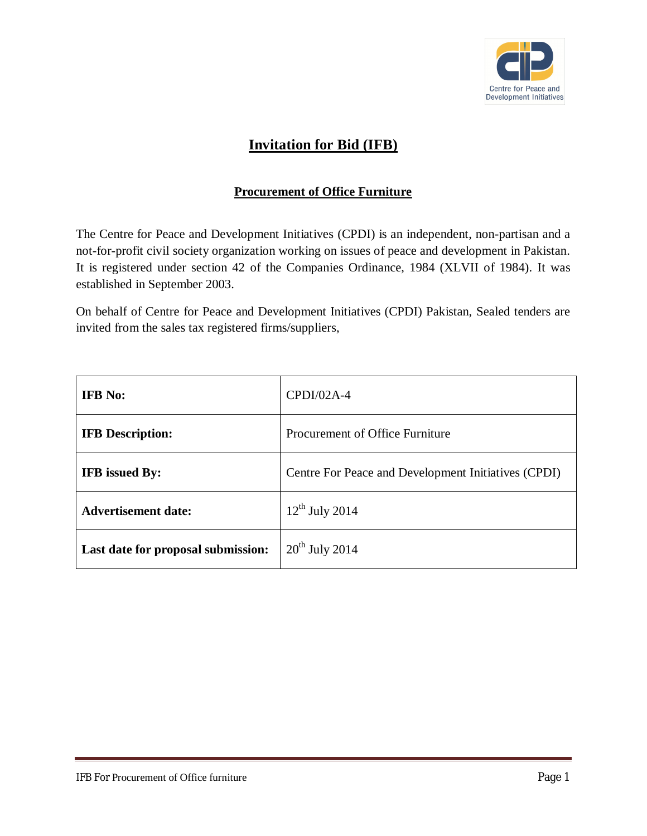

## **Invitation for Bid (IFB)**

### **Procurement of Office Furniture**

The Centre for Peace and Development Initiatives (CPDI) is an independent, non-partisan and a not-for-profit civil society organization working on issues of peace and development in Pakistan. It is registered under section 42 of the Companies Ordinance, 1984 (XLVII of 1984). It was established in September 2003.

On behalf of Centre for Peace and Development Initiatives (CPDI) Pakistan, Sealed tenders are invited from the sales tax registered firms/suppliers,

| <b>IFB</b> No:                     | $CPDI/02A-4$                                        |  |
|------------------------------------|-----------------------------------------------------|--|
| <b>IFB</b> Description:            | Procurement of Office Furniture                     |  |
| <b>IFB</b> issued By:              | Centre For Peace and Development Initiatives (CPDI) |  |
| <b>Advertisement date:</b>         | $12^{th}$ July 2014                                 |  |
| Last date for proposal submission: | $20th$ July 2014                                    |  |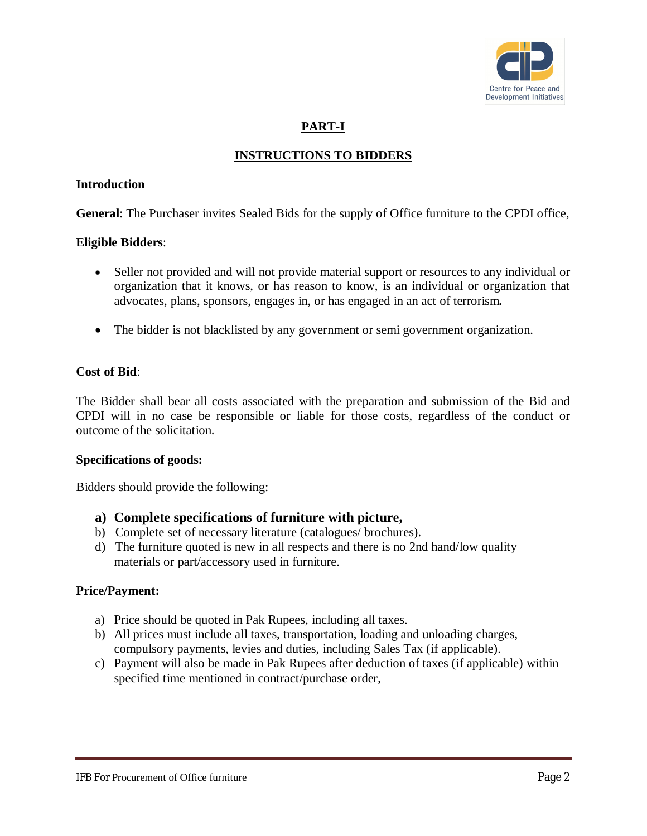

### **PART-I**

### **INSTRUCTIONS TO BIDDERS**

#### **Introduction**

**General**: The Purchaser invites Sealed Bids for the supply of Office furniture to the CPDI office,

#### **Eligible Bidders**:

- Seller not provided and will not provide material support or resources to any individual or organization that it knows, or has reason to know, is an individual or organization that advocates, plans, sponsors, engages in, or has engaged in an act of terrorism*.*
- The bidder is not blacklisted by any government or semi government organization.

#### **Cost of Bid**:

The Bidder shall bear all costs associated with the preparation and submission of the Bid and CPDI will in no case be responsible or liable for those costs, regardless of the conduct or outcome of the solicitation.

#### **Specifications of goods:**

Bidders should provide the following:

#### **a) Complete specifications of furniture with picture,**

- b) Complete set of necessary literature (catalogues/ brochures).
- d) The furniture quoted is new in all respects and there is no 2nd hand/low quality materials or part/accessory used in furniture.

#### **Price/Payment:**

- a) Price should be quoted in Pak Rupees, including all taxes.
- b) All prices must include all taxes, transportation, loading and unloading charges, compulsory payments, levies and duties, including Sales Tax (if applicable).
- c) Payment will also be made in Pak Rupees after deduction of taxes (if applicable) within specified time mentioned in contract/purchase order,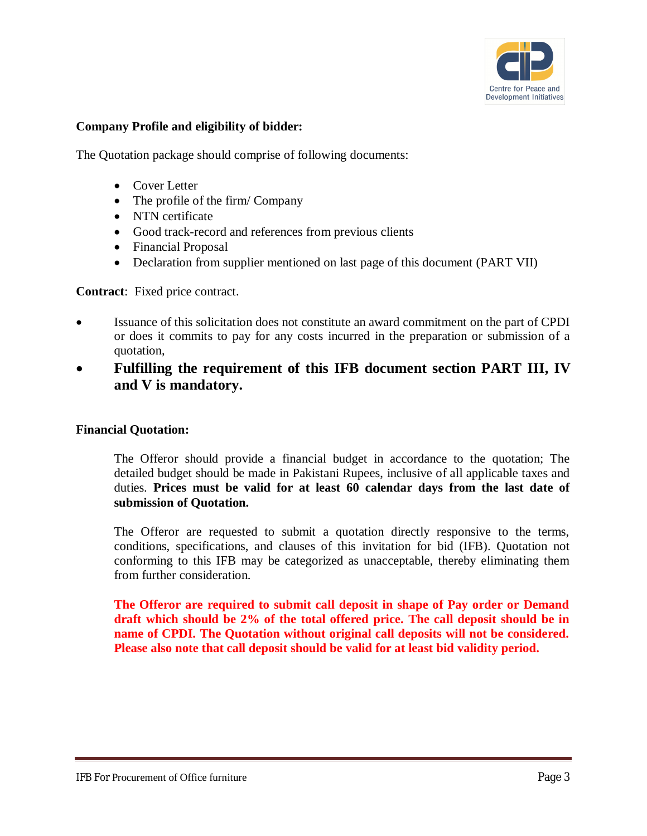

### **Company Profile and eligibility of bidder:**

The Quotation package should comprise of following documents:

- Cover Letter
- The profile of the firm/ Company
- NTN certificate
- Good track-record and references from previous clients
- Financial Proposal
- Declaration from supplier mentioned on last page of this document (PART VII)

**Contract**: Fixed price contract.

- Issuance of this solicitation does not constitute an award commitment on the part of CPDI or does it commits to pay for any costs incurred in the preparation or submission of a quotation,
- **Fulfilling the requirement of this IFB document section PART III, IV and V is mandatory.**

#### **Financial Quotation:**

The Offeror should provide a financial budget in accordance to the quotation; The detailed budget should be made in Pakistani Rupees, inclusive of all applicable taxes and duties. **Prices must be valid for at least 60 calendar days from the last date of submission of Quotation.**

The Offeror are requested to submit a quotation directly responsive to the terms, conditions, specifications, and clauses of this invitation for bid (IFB). Quotation not conforming to this IFB may be categorized as unacceptable, thereby eliminating them from further consideration.

**The Offeror are required to submit call deposit in shape of Pay order or Demand draft which should be 2% of the total offered price. The call deposit should be in name of CPDI. The Quotation without original call deposits will not be considered. Please also note that call deposit should be valid for at least bid validity period.**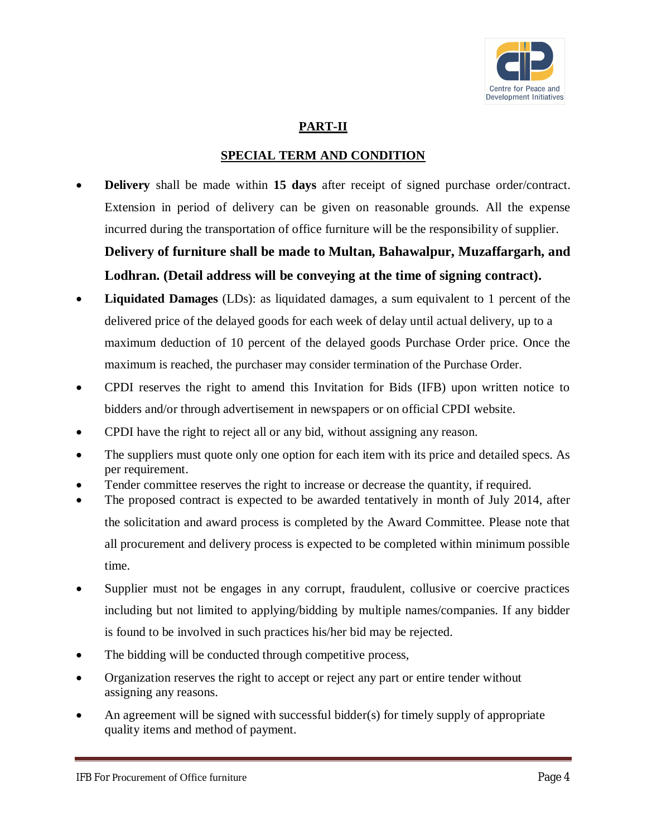

### **PART-II**

### **SPECIAL TERM AND CONDITION**

 **Delivery** shall be made within **15 days** after receipt of signed purchase order/contract. Extension in period of delivery can be given on reasonable grounds. All the expense incurred during the transportation of office furniture will be the responsibility of supplier.

# **Delivery of furniture shall be made to Multan, Bahawalpur, Muzaffargarh, and Lodhran. (Detail address will be conveying at the time of signing contract).**

- **Liquidated Damages** (LDs): as liquidated damages, a sum equivalent to 1 percent of the delivered price of the delayed goods for each week of delay until actual delivery, up to a maximum deduction of 10 percent of the delayed goods Purchase Order price. Once the maximum is reached, the purchaser may consider termination of the Purchase Order.
- CPDI reserves the right to amend this Invitation for Bids (IFB) upon written notice to bidders and/or through advertisement in newspapers or on official CPDI website.
- CPDI have the right to reject all or any bid, without assigning any reason.
- The suppliers must quote only one option for each item with its price and detailed specs. As per requirement.
- Tender committee reserves the right to increase or decrease the quantity, if required.
- The proposed contract is expected to be awarded tentatively in month of July 2014, after the solicitation and award process is completed by the Award Committee. Please note that all procurement and delivery process is expected to be completed within minimum possible time.
- Supplier must not be engages in any corrupt, fraudulent, collusive or coercive practices including but not limited to applying/bidding by multiple names/companies. If any bidder is found to be involved in such practices his/her bid may be rejected.
- The bidding will be conducted through competitive process,
- Organization reserves the right to accept or reject any part or entire tender without assigning any reasons.
- An agreement will be signed with successful bidder(s) for timely supply of appropriate quality items and method of payment.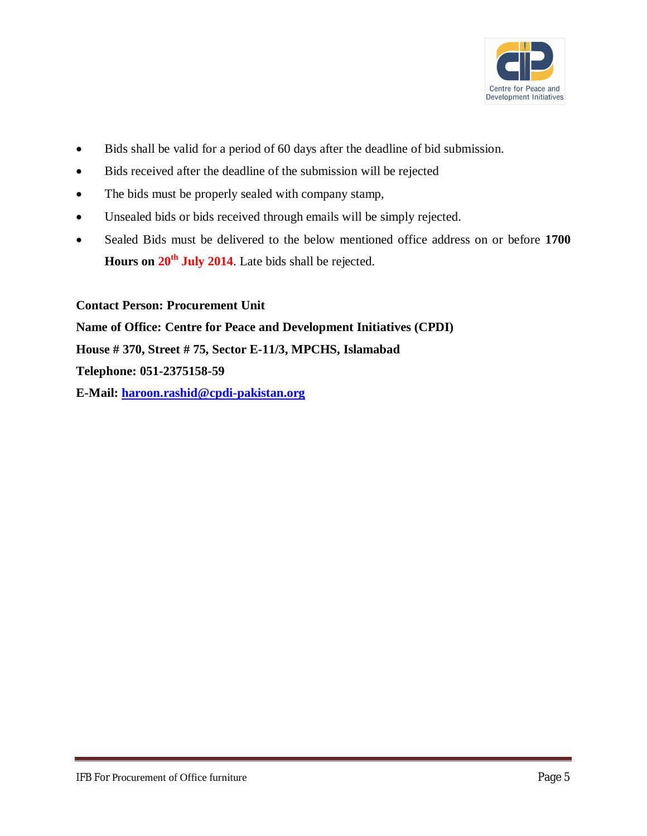

- Bids shall be valid for a period of 60 days after the deadline of bid submission.
- Bids received after the deadline of the submission will be rejected
- The bids must be properly sealed with company stamp,
- Unsealed bids or bids received through emails will be simply rejected.
- Sealed Bids must be delivered to the below mentioned office address on or before **1700 Hours on 20th July 2014**. Late bids shall be rejected.

**Contact Person: Procurement Unit**

**Name of Office: Centre for Peace and Development Initiatives (CPDI) House # 370, Street # 75, Sector E-11/3, MPCHS, Islamabad Telephone: 051-2375158-59 E-Mail: haroon.rashid@cpdi-pakistan.org**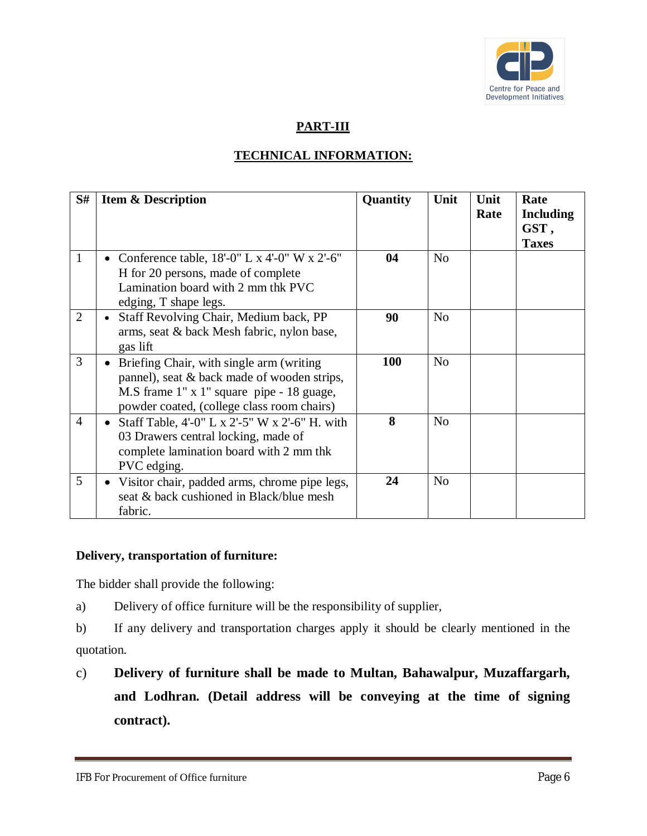

### **PART-III**

### **TECHNICAL INFORMATION:**

| S#             | <b>Item &amp; Description</b>                                                                                                                                                      | Quantity   | Unit           | Unit<br>Rate | Rate<br><b>Including</b><br>GST,<br><b>Taxes</b> |
|----------------|------------------------------------------------------------------------------------------------------------------------------------------------------------------------------------|------------|----------------|--------------|--------------------------------------------------|
| 1              | Conference table, $18'-0$ " L x 4'-0" W x 2'-6"<br>H for 20 persons, made of complete<br>Lamination board with 2 mm thk PVC<br>edging, T shape legs.                               | 04         | No             |              |                                                  |
| $\overline{2}$ | Staff Revolving Chair, Medium back, PP<br>$\bullet$<br>arms, seat & back Mesh fabric, nylon base,<br>gas lift                                                                      | 90         | N <sub>o</sub> |              |                                                  |
| 3              | Briefing Chair, with single arm (writing<br>pannel), seat & back made of wooden strips,<br>M.S frame 1" x 1" square pipe - 18 guage,<br>powder coated, (college class room chairs) | <b>100</b> | N <sub>o</sub> |              |                                                  |
| $\overline{4}$ | Staff Table, 4'-0" L x 2'-5" W x 2'-6" H. with<br>03 Drawers central locking, made of<br>complete lamination board with 2 mm thk<br>PVC edging.                                    | 8          | N <sub>o</sub> |              |                                                  |
| 5              | Visitor chair, padded arms, chrome pipe legs,<br>seat & back cushioned in Black/blue mesh<br>fabric.                                                                               | 24         | N <sub>o</sub> |              |                                                  |

### **Delivery, transportation of furniture:**

The bidder shall provide the following:

a) Delivery of office furniture will be the responsibility of supplier,

b) If any delivery and transportation charges apply it should be clearly mentioned in the quotation.

c) **Delivery of furniture shall be made to Multan, Bahawalpur, Muzaffargarh, and Lodhran. (Detail address will be conveying at the time of signing contract).**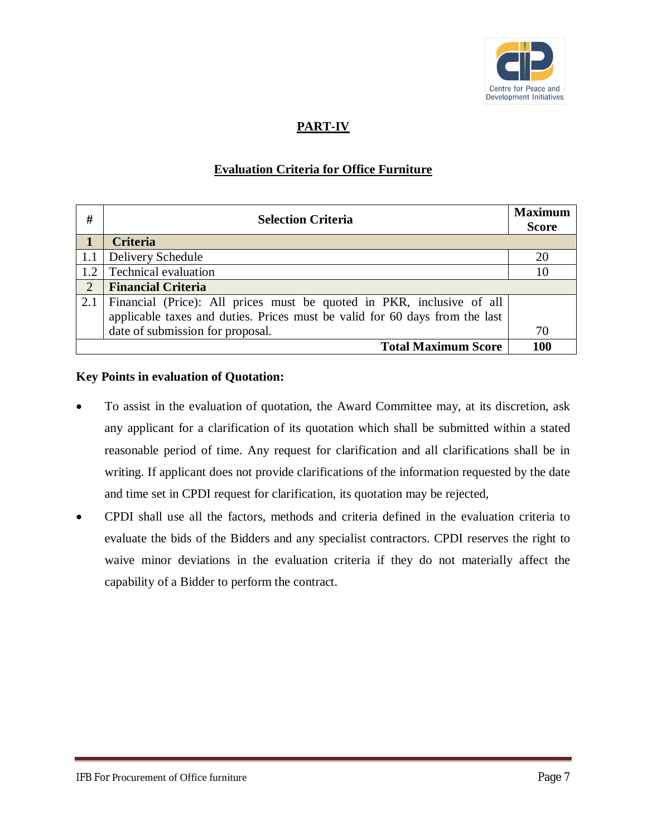

### **PART-IV**

### **Evaluation Criteria for Office Furniture**

| #   | <b>Selection Criteria</b>                                                   |     |
|-----|-----------------------------------------------------------------------------|-----|
|     | <b>Criteria</b>                                                             |     |
| 1.1 | Delivery Schedule                                                           | 20  |
| 1.2 | Technical evaluation                                                        | 10  |
| 2   | <b>Financial Criteria</b>                                                   |     |
| 2.1 | Financial (Price): All prices must be quoted in PKR, inclusive of all       |     |
|     | applicable taxes and duties. Prices must be valid for 60 days from the last |     |
|     | date of submission for proposal.                                            | 70  |
|     | <b>Total Maximum Score</b>                                                  | 100 |

### **Key Points in evaluation of Quotation:**

- To assist in the evaluation of quotation, the Award Committee may, at its discretion, ask any applicant for a clarification of its quotation which shall be submitted within a stated reasonable period of time. Any request for clarification and all clarifications shall be in writing. If applicant does not provide clarifications of the information requested by the date and time set in CPDI request for clarification, its quotation may be rejected,
- CPDI shall use all the factors, methods and criteria defined in the evaluation criteria to evaluate the bids of the Bidders and any specialist contractors. CPDI reserves the right to waive minor deviations in the evaluation criteria if they do not materially affect the capability of a Bidder to perform the contract.